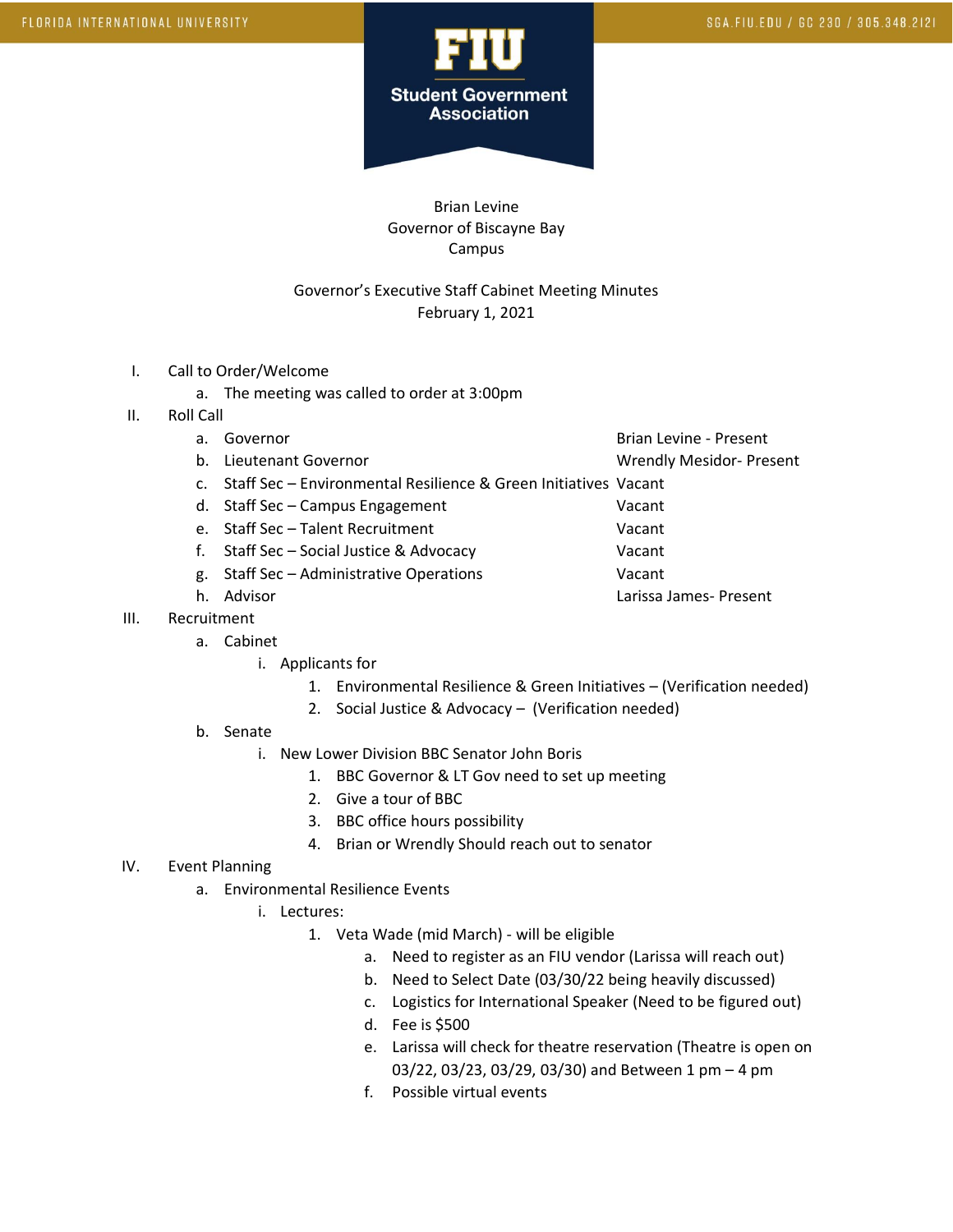

Brian Levine Governor of Biscayne Bay Campus

## Governor's Executive Staff Cabinet Meeting Minutes February 1, 2021

- I. Call to Order/Welcome
	- a. The meeting was called to order at 3:00pm
- II. Roll Call
	-
	-
	- a. Governor and Brian Levine Present

b. Lieutenant Governor November 2012 1999 Wrendly Mesidor-Present

- c. Staff Sec Environmental Resilience & Green Initiatives Vacant
- d. Staff Sec Campus Engagement Vacant
- e. Staff Sec Talent Recruitment Vacant
- f. Staff Sec Social Justice & Advocacy Vacant
- g. Staff Sec Administrative Operations Vacant
- 
- III. Recruitment
	- a. Cabinet
		- i. Applicants for
			- 1. Environmental Resilience & Green Initiatives (Verification needed)
			- 2. Social Justice & Advocacy (Verification needed)
	- b. Senate
		- i. New Lower Division BBC Senator John Boris
			- 1. BBC Governor & LT Gov need to set up meeting
			- 2. Give a tour of BBC
			- 3. BBC office hours possibility
			- 4. Brian or Wrendly Should reach out to senator
- IV. Event Planning
	- a. Environmental Resilience Events
		- i. Lectures:
			- 1. Veta Wade (mid March) will be eligible
				- a. Need to register as an FIU vendor (Larissa will reach out)
				- b. Need to Select Date (03/30/22 being heavily discussed)
				- c. Logistics for International Speaker (Need to be figured out)
				- d. Fee is \$500
				- e. Larissa will check for theatre reservation (Theatre is open on 03/22, 03/23, 03/29, 03/30) and Between 1 pm – 4 pm
				- f. Possible virtual events
- 
- 
- h. Advisor Larissa James- Present